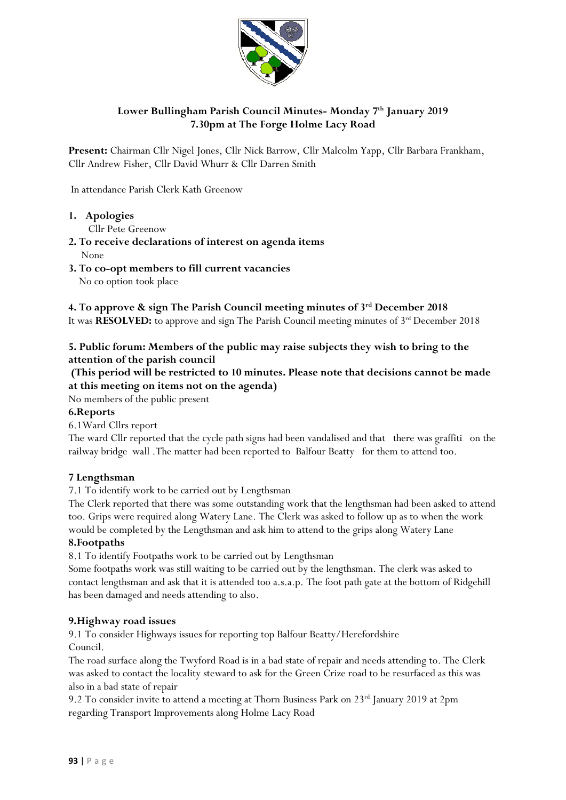

# **Lower Bullingham Parish Council Minutes- Monday 7 th January 2019 7.30pm at The Forge Holme Lacy Road**

**Present:** Chairman Cllr Nigel Jones, Cllr Nick Barrow, Cllr Malcolm Yapp, Cllr Barbara Frankham, Cllr Andrew Fisher, Cllr David Whurr & Cllr Darren Smith

In attendance Parish Clerk Kath Greenow

**1. Apologies** 

Cllr Pete Greenow

- **2. To receive declarations of interest on agenda items** None
- **3. To co-opt members to fill current vacancies**  No co option took place

### **4. To approve & sign The Parish Council meeting minutes of 3rd December 2018**

It was **RESOLVED:** to approve and sign The Parish Council meeting minutes of 3<sup>rd</sup> December 2018

# **5. Public forum: Members of the public may raise subjects they wish to bring to the attention of the parish council**

# **(This period will be restricted to 10 minutes. Please note that decisions cannot be made at this meeting on items not on the agenda)**

No members of the public present

# **6.Reports**

6.1Ward Cllrs report

The ward Cllr reported that the cycle path signs had been vandalised and that there was graffiti on the railway bridge wall .The matter had been reported to Balfour Beatty for them to attend too.

## **7 Lengthsman**

7.1 To identify work to be carried out by Lengthsman

The Clerk reported that there was some outstanding work that the lengthsman had been asked to attend too. Grips were required along Watery Lane. The Clerk was asked to follow up as to when the work would be completed by the Lengthsman and ask him to attend to the grips along Watery Lane

## **8.Footpaths**

8.1 To identify Footpaths work to be carried out by Lengthsman

Some footpaths work was still waiting to be carried out by the lengthsman. The clerk was asked to contact lengthsman and ask that it is attended too a.s.a.p. The foot path gate at the bottom of Ridgehill has been damaged and needs attending to also.

## **9.Highway road issues**

9.1 To consider Highways issues for reporting top Balfour Beatty/Herefordshire Council.

The road surface along the Twyford Road is in a bad state of repair and needs attending to. The Clerk was asked to contact the locality steward to ask for the Green Crize road to be resurfaced as this was also in a bad state of repair

9.2 To consider invite to attend a meeting at Thorn Business Park on 23<sup>rd</sup> January 2019 at 2pm regarding Transport Improvements along Holme Lacy Road